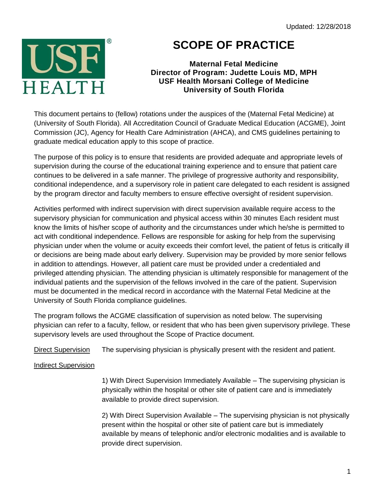

## **SCOPE OF PRACTICE**

**Maternal Fetal Medicine Director of Program: Judette Louis MD, MPH USF Health Morsani College of Medicine University of South Florida**

This document pertains to (fellow) rotations under the auspices of the (Maternal Fetal Medicine) at (University of South Florida). All Accreditation Council of Graduate Medical Education (ACGME), Joint Commission (JC), Agency for Health Care Administration (AHCA), and CMS guidelines pertaining to graduate medical education apply to this scope of practice.

The purpose of this policy is to ensure that residents are provided adequate and appropriate levels of supervision during the course of the educational training experience and to ensure that patient care continues to be delivered in a safe manner. The privilege of progressive authority and responsibility, conditional independence, and a supervisory role in patient care delegated to each resident is assigned by the program director and faculty members to ensure effective oversight of resident supervision.

Activities performed with indirect supervision with direct supervision available require access to the supervisory physician for communication and physical access within 30 minutes Each resident must know the limits of his/her scope of authority and the circumstances under which he/she is permitted to act with conditional independence. Fellows are responsible for asking for help from the supervising physician under when the volume or acuity exceeds their comfort level, the patient of fetus is critically ill or decisions are being made about early delivery. Supervision may be provided by more senior fellows in addition to attendings. However, all patient care must be provided under a credentialed and privileged attending physician. The attending physician is ultimately responsible for management of the individual patients and the supervision of the fellows involved in the care of the patient. Supervision must be documented in the medical record in accordance with the Maternal Fetal Medicine at the University of South Florida compliance guidelines.

The program follows the ACGME classification of supervision as noted below. The supervising physician can refer to a faculty, fellow, or resident that who has been given supervisory privilege. These supervisory levels are used throughout the Scope of Practice document.

Direct Supervision The supervising physician is physically present with the resident and patient.

## Indirect Supervision

1) With Direct Supervision Immediately Available – The supervising physician is physically within the hospital or other site of patient care and is immediately available to provide direct supervision.

2) With Direct Supervision Available – The supervising physician is not physically present within the hospital or other site of patient care but is immediately available by means of telephonic and/or electronic modalities and is available to provide direct supervision.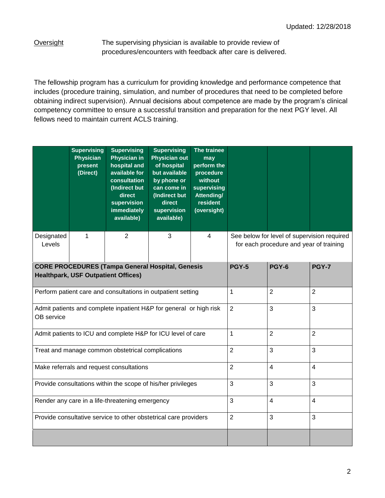Oversight The supervising physician is available to provide review of procedures/encounters with feedback after care is delivered.

The fellowship program has a curriculum for providing knowledge and performance competence that includes (procedure training, simulation, and number of procedures that need to be completed before obtaining indirect supervision). Annual decisions about competence are made by the program's clinical competency committee to ensure a successful transition and preparation for the next PGY level. All fellows need to maintain current ACLS training.

|                      | <b>Supervising</b><br><b>Physician</b><br>present<br>(Direct) | <b>Supervising</b><br><b>Physician in</b><br>hospital and<br>available for<br>consultation<br>(Indirect but<br>direct<br>supervision<br>immediately<br>available) | <b>Supervising</b><br><b>Physician out</b><br>of hospital<br>but available<br>by phone or<br>can come in<br>(Indirect but<br>direct<br>supervision<br>available) | The trainee<br>may<br>perform the<br>procedure<br>without<br>supervising<br>Attending/<br>resident<br>(oversight) |                                                                                        |  |  |  |  |
|----------------------|---------------------------------------------------------------|-------------------------------------------------------------------------------------------------------------------------------------------------------------------|------------------------------------------------------------------------------------------------------------------------------------------------------------------|-------------------------------------------------------------------------------------------------------------------|----------------------------------------------------------------------------------------|--|--|--|--|
| Designated<br>Levels | 1                                                             | $\mathbf{2}$                                                                                                                                                      | 3                                                                                                                                                                | $\overline{4}$                                                                                                    | See below for level of supervision required<br>for each procedure and year of training |  |  |  |  |
|                      |                                                               | <b>CORE PROCEDURES (Tampa General Hospital, Genesis</b><br><b>Healthpark, USF Outpatient Offices)</b>                                                             | <b>PGY-5</b>                                                                                                                                                     | PGY-6                                                                                                             | <b>PGY-7</b>                                                                           |  |  |  |  |
|                      |                                                               | Perform patient care and consultations in outpatient setting                                                                                                      | 1                                                                                                                                                                | $\overline{2}$                                                                                                    | $\overline{2}$                                                                         |  |  |  |  |
| OB service           |                                                               | Admit patients and complete inpatient H&P for general or high risk                                                                                                | $\overline{2}$                                                                                                                                                   | 3                                                                                                                 | 3                                                                                      |  |  |  |  |
|                      |                                                               | Admit patients to ICU and complete H&P for ICU level of care                                                                                                      | 1                                                                                                                                                                | $\overline{2}$                                                                                                    | $\overline{2}$                                                                         |  |  |  |  |
|                      |                                                               | Treat and manage common obstetrical complications                                                                                                                 | $\overline{2}$                                                                                                                                                   | 3                                                                                                                 | 3                                                                                      |  |  |  |  |
|                      |                                                               | Make referrals and request consultations                                                                                                                          | $\overline{2}$                                                                                                                                                   | $\overline{4}$                                                                                                    | $\overline{4}$                                                                         |  |  |  |  |
|                      |                                                               | Provide consultations within the scope of his/her privileges                                                                                                      | 3                                                                                                                                                                | 3                                                                                                                 | 3                                                                                      |  |  |  |  |
|                      |                                                               | Render any care in a life-threatening emergency                                                                                                                   | 3                                                                                                                                                                | $\overline{\mathbf{4}}$                                                                                           | $\overline{\mathbf{4}}$                                                                |  |  |  |  |
|                      |                                                               | Provide consultative service to other obstetrical care providers                                                                                                  | $\overline{2}$                                                                                                                                                   | 3                                                                                                                 | 3                                                                                      |  |  |  |  |
|                      |                                                               |                                                                                                                                                                   |                                                                                                                                                                  |                                                                                                                   |                                                                                        |  |  |  |  |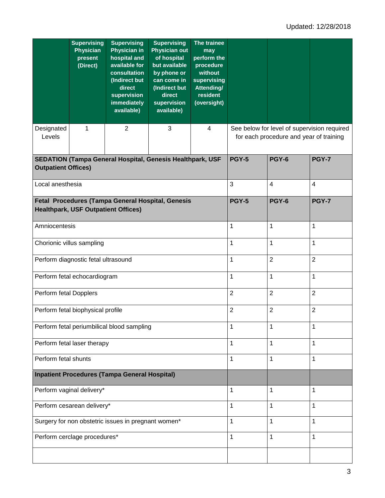|                            | <b>Supervising</b><br><b>Physician</b><br>present<br>(Direct) | <b>Supervising</b><br><b>Physician in</b><br>hospital and<br>available for<br>consultation<br>(Indirect but<br>direct<br>supervision<br><b>immediately</b><br>available) | <b>Supervising</b><br><b>Physician out</b><br>of hospital<br>but available<br>by phone or<br>can come in<br>(Indirect but<br>direct<br>supervision<br>available) | The trainee<br>may<br>perform the<br>procedure<br>without<br>supervising<br><b>Attending/</b><br>resident<br>(oversight) |                                                                                        |  |  |  |  |
|----------------------------|---------------------------------------------------------------|--------------------------------------------------------------------------------------------------------------------------------------------------------------------------|------------------------------------------------------------------------------------------------------------------------------------------------------------------|--------------------------------------------------------------------------------------------------------------------------|----------------------------------------------------------------------------------------|--|--|--|--|
| Designated<br>Levels       | 1                                                             | $\overline{2}$                                                                                                                                                           | 3                                                                                                                                                                | $\overline{4}$                                                                                                           | See below for level of supervision required<br>for each procedure and year of training |  |  |  |  |
| <b>Outpatient Offices)</b> |                                                               | SEDATION (Tampa General Hospital, Genesis Healthpark, USF                                                                                                                | <b>PGY-5</b>                                                                                                                                                     | PGY-6                                                                                                                    | <b>PGY-7</b>                                                                           |  |  |  |  |
| Local anesthesia           |                                                               |                                                                                                                                                                          | 3                                                                                                                                                                | $\overline{\mathcal{A}}$                                                                                                 | $\overline{4}$                                                                         |  |  |  |  |
|                            | <b>Healthpark, USF Outpatient Offices)</b>                    | Fetal Procedures (Tampa General Hospital, Genesis                                                                                                                        | <b>PGY-5</b>                                                                                                                                                     | <b>PGY-6</b>                                                                                                             | <b>PGY-7</b>                                                                           |  |  |  |  |
| Amniocentesis              |                                                               |                                                                                                                                                                          | 1                                                                                                                                                                | $\mathbf{1}$                                                                                                             | $\mathbf{1}$                                                                           |  |  |  |  |
|                            | Chorionic villus sampling                                     |                                                                                                                                                                          | 1                                                                                                                                                                | $\mathbf{1}$                                                                                                             | $\mathbf{1}$                                                                           |  |  |  |  |
|                            | Perform diagnostic fetal ultrasound                           |                                                                                                                                                                          | 1                                                                                                                                                                | $\overline{2}$                                                                                                           | $\overline{2}$                                                                         |  |  |  |  |
|                            | Perform fetal echocardiogram                                  |                                                                                                                                                                          | 1                                                                                                                                                                | $\mathbf{1}$                                                                                                             | $\mathbf{1}$                                                                           |  |  |  |  |
| Perform fetal Dopplers     |                                                               |                                                                                                                                                                          | $\overline{2}$                                                                                                                                                   | $\overline{2}$                                                                                                           | $\overline{2}$                                                                         |  |  |  |  |
|                            | Perform fetal biophysical profile                             |                                                                                                                                                                          | $\overline{2}$                                                                                                                                                   | $\overline{2}$                                                                                                           | $\overline{2}$                                                                         |  |  |  |  |
|                            |                                                               | Perform fetal periumbilical blood sampling                                                                                                                               | 1                                                                                                                                                                | 1                                                                                                                        | 1                                                                                      |  |  |  |  |
|                            | Perform fetal laser therapy                                   |                                                                                                                                                                          | 1                                                                                                                                                                | $\mathbf{1}$                                                                                                             | $\mathbf{1}$                                                                           |  |  |  |  |
| Perform fetal shunts       |                                                               |                                                                                                                                                                          | 1                                                                                                                                                                | 1                                                                                                                        | $\mathbf{1}$                                                                           |  |  |  |  |
|                            |                                                               | <b>Inpatient Procedures (Tampa General Hospital)</b>                                                                                                                     |                                                                                                                                                                  |                                                                                                                          |                                                                                        |  |  |  |  |
|                            | Perform vaginal delivery*                                     |                                                                                                                                                                          | 1                                                                                                                                                                | 1                                                                                                                        | 1                                                                                      |  |  |  |  |
|                            | Perform cesarean delivery*                                    |                                                                                                                                                                          | 1                                                                                                                                                                | 1                                                                                                                        | 1                                                                                      |  |  |  |  |
|                            |                                                               | Surgery for non obstetric issues in pregnant women*                                                                                                                      | 1                                                                                                                                                                | 1                                                                                                                        | $\mathbf{1}$                                                                           |  |  |  |  |
|                            | Perform cerclage procedures*                                  |                                                                                                                                                                          | 1                                                                                                                                                                | $\mathbf{1}$                                                                                                             | $\mathbf{1}$                                                                           |  |  |  |  |
|                            |                                                               |                                                                                                                                                                          |                                                                                                                                                                  |                                                                                                                          |                                                                                        |  |  |  |  |